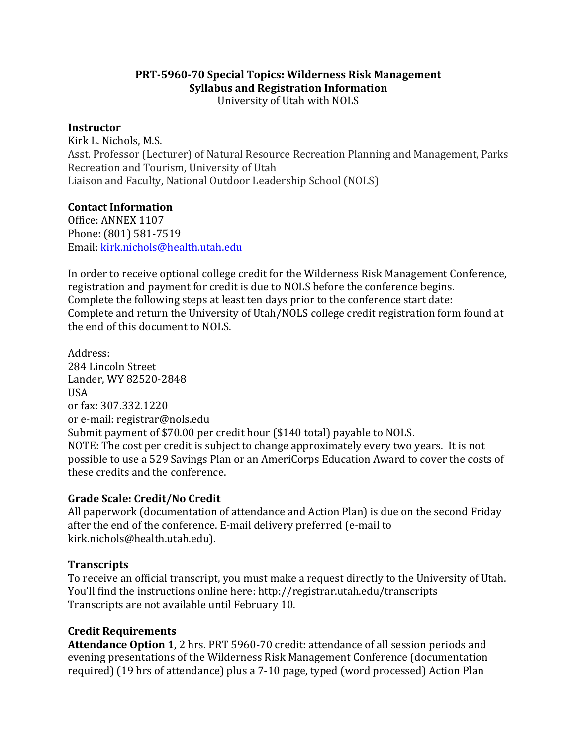### **PRT-5960-70 Special Topics: Wilderness Risk Management Syllabus and Registration Information** University of Utah with NOLS

### **Instructor**

Kirk L. Nichols, M.S. Asst. Professor (Lecturer) of Natural Resource Recreation Planning and Management, Parks Recreation and Tourism, University of Utah Liaison and Faculty, National Outdoor Leadership School (NOLS)

### **Contact Information**

Office: ANNEX 1107 Phone: (801) 581-7519 Email: kirk.nichols@health.utah.edu

In order to receive optional college credit for the Wilderness Risk Management Conference, registration and payment for credit is due to NOLS before the conference begins. Complete the following steps at least ten days prior to the conference start date: Complete and return the University of Utah/NOLS college credit registration form found at the end of this document to NOLS.

Address: 284 Lincoln Street Lander, WY 82520-2848 **IISA** or fax: 307.332.1220 or e-mail: registrar@nols.edu Submit payment of \$70.00 per credit hour (\$140 total) payable to NOLS. NOTE: The cost per credit is subject to change approximately every two years. It is not possible to use a 529 Savings Plan or an AmeriCorps Education Award to cover the costs of these credits and the conference.

### **Grade Scale: Credit/No Credit**

All paperwork (documentation of attendance and Action Plan) is due on the second Friday after the end of the conference. E-mail delivery preferred (e-mail to kirk.nichols@health.utah.edu).

## **Transcripts**

To receive an official transcript, you must make a request directly to the University of Utah. You'll find the instructions online here: http://registrar.utah.edu/transcripts Transcripts are not available until February 10.

## **Credit Requirements**

**Attendance Option 1,** 2 hrs. PRT 5960-70 credit: attendance of all session periods and evening presentations of the Wilderness Risk Management Conference (documentation required) (19 hrs of attendance) plus a 7-10 page, typed (word processed) Action Plan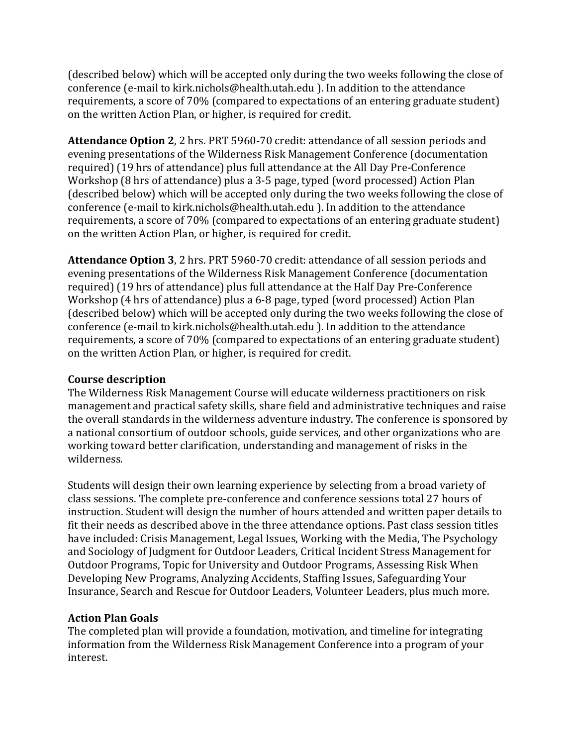(described below) which will be accepted only during the two weeks following the close of conference (e-mail to kirk.nichols@health.utah.edu ). In addition to the attendance requirements, a score of 70% (compared to expectations of an entering graduate student) on the written Action Plan, or higher, is required for credit.

**Attendance Option 2.** 2 hrs. PRT 5960-70 credit: attendance of all session periods and evening presentations of the Wilderness Risk Management Conference (documentation required) (19 hrs of attendance) plus full attendance at the All Day Pre-Conference Workshop (8 hrs of attendance) plus a 3-5 page, typed (word processed) Action Plan (described below) which will be accepted only during the two weeks following the close of conference (e-mail to kirk.nichols@health.utah.edu ). In addition to the attendance requirements, a score of 70% (compared to expectations of an entering graduate student) on the written Action Plan, or higher, is required for credit.

**Attendance Option 3.** 2 hrs. PRT 5960-70 credit: attendance of all session periods and evening presentations of the Wilderness Risk Management Conference (documentation required) (19 hrs of attendance) plus full attendance at the Half Day Pre-Conference Workshop (4 hrs of attendance) plus a 6-8 page, typed (word processed) Action Plan (described below) which will be accepted only during the two weeks following the close of conference (e-mail to kirk.nichols@health.utah.edu ). In addition to the attendance requirements, a score of 70% (compared to expectations of an entering graduate student) on the written Action Plan, or higher, is required for credit.

# **Course description**

The Wilderness Risk Management Course will educate wilderness practitioners on risk management and practical safety skills, share field and administrative techniques and raise the overall standards in the wilderness adventure industry. The conference is sponsored by a national consortium of outdoor schools, guide services, and other organizations who are working toward better clarification, understanding and management of risks in the wilderness.

Students will design their own learning experience by selecting from a broad variety of class sessions. The complete pre-conference and conference sessions total 27 hours of instruction. Student will design the number of hours attended and written paper details to fit their needs as described above in the three attendance options. Past class session titles have included: Crisis Management, Legal Issues, Working with the Media, The Psychology and Sociology of Judgment for Outdoor Leaders, Critical Incident Stress Management for Outdoor Programs, Topic for University and Outdoor Programs, Assessing Risk When Developing New Programs, Analyzing Accidents, Staffing Issues, Safeguarding Your Insurance, Search and Rescue for Outdoor Leaders, Volunteer Leaders, plus much more.

# **Action Plan Goals**

The completed plan will provide a foundation, motivation, and timeline for integrating information from the Wilderness Risk Management Conference into a program of your interest.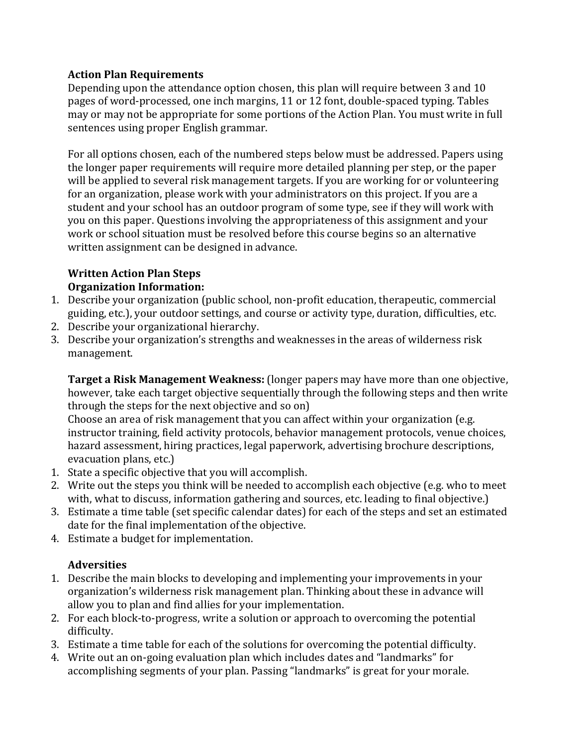# **Action Plan Requirements**

Depending upon the attendance option chosen, this plan will require between 3 and 10 pages of word-processed, one inch margins, 11 or 12 font, double-spaced typing. Tables may or may not be appropriate for some portions of the Action Plan. You must write in full sentences using proper English grammar.

For all options chosen, each of the numbered steps below must be addressed. Papers using the longer paper requirements will require more detailed planning per step, or the paper will be applied to several risk management targets. If you are working for or volunteering for an organization, please work with your administrators on this project. If you are a student and your school has an outdoor program of some type, see if they will work with you on this paper. Questions involving the appropriateness of this assignment and your work or school situation must be resolved before this course begins so an alternative written assignment can be designed in advance.

### **Written Action Plan Steps Organization Information:**

- 1. Describe your organization (public school, non-profit education, therapeutic, commercial guiding, etc.), your outdoor settings, and course or activity type, duration, difficulties, etc.
- 2. Describe your organizational hierarchy.
- 3. Describe your organization's strengths and weaknesses in the areas of wilderness risk management.

**Target a Risk Management Weakness:** (longer papers may have more than one objective, however, take each target objective sequentially through the following steps and then write through the steps for the next objective and so on)

Choose an area of risk management that you can affect within your organization (e.g. instructor training, field activity protocols, behavior management protocols, venue choices, hazard assessment, hiring practices, legal paperwork, advertising brochure descriptions, evacuation plans, etc.)

- 1. State a specific objective that you will accomplish.
- 2. Write out the steps you think will be needed to accomplish each objective (e.g. who to meet with, what to discuss, information gathering and sources, etc. leading to final objective.)
- 3. Estimate a time table (set specific calendar dates) for each of the steps and set an estimated date for the final implementation of the objective.
- 4. Estimate a budget for implementation.

# **Adversities**

- 1. Describe the main blocks to developing and implementing your improvements in your organization's wilderness risk management plan. Thinking about these in advance will allow you to plan and find allies for your implementation.
- 2. For each block-to-progress, write a solution or approach to overcoming the potential difficulty.
- 3. Estimate a time table for each of the solutions for overcoming the potential difficulty.
- 4. Write out an on-going evaluation plan which includes dates and "landmarks" for accomplishing segments of your plan. Passing "landmarks" is great for your morale.